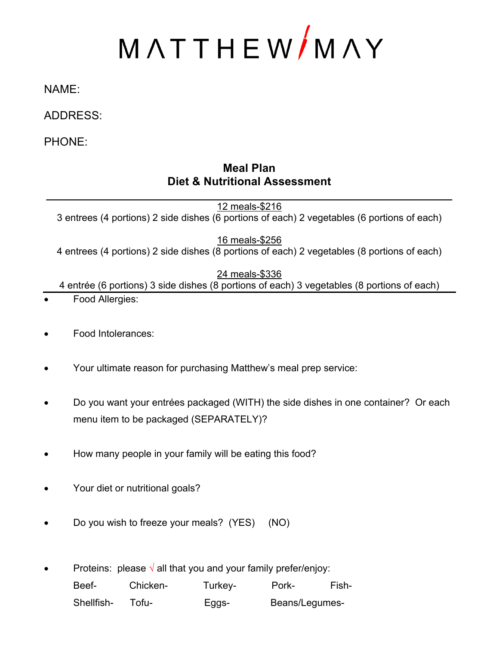# MATTHEW/MAY

### NAME:

## ADDRESS:

PHONE:

## **Meal Plan Diet & Nutritional Assessment**

12 meals-\$216 3 entrees (4 portions) 2 side dishes (6 portions of each) 2 vegetables (6 portions of each)

\_\_\_\_\_\_\_\_\_\_\_\_\_\_\_\_\_\_\_\_\_\_\_\_\_\_\_\_\_\_\_\_\_\_\_\_\_\_\_\_\_\_\_\_\_\_\_\_\_\_\_\_\_\_\_\_\_\_\_\_\_\_\_\_

16 meals-\$256 4 entrees (4 portions) 2 side dishes (8 portions of each) 2 vegetables (8 portions of each)

#### 24 meals-\$336

4 entrée (6 portions) 3 side dishes (8 portions of each) 3 vegetables (8 portions of each)

- Food Allergies:
- Food Intolerances:
- Your ultimate reason for purchasing Matthew's meal prep service:
- Do you want your entrées packaged (WITH) the side dishes in one container? Or each menu item to be packaged (SEPARATELY)?
- How many people in your family will be eating this food?
- Your diet or nutritional goals?
- Do you wish to freeze your meals? (YES) (NO)

Proteins: please  $\sqrt{ }$  all that you and your family prefer/enjoy: Beef- Chicken- Turkey- Pork- Fish-Shellfish- Tofu-<br>
EggsBeans/Legumes-